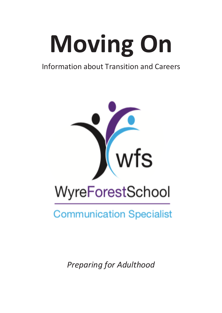# **Moving On**

### Information about Transition and Careers



# **Communication Specialist**

*Preparing for Adulthood*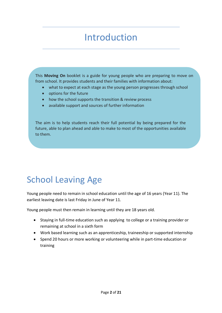### Introduction

This **Moving On** booklet is a guide for young people who are preparing to move on from school. It provides students and their families with information about:

- what to expect at each stage as the young person progresses through school
- options for the future
- how the school supports the transition & review process
- available support and sources of further information

The aim is to help students reach their full potential by being prepared for the future, able to plan ahead and able to make to most of the opportunities available to them.

### School Leaving Age

Young people need to remain in school education until the age of 16 years (Year 11). The earliest leaving date is last Friday in June of Year 11.

Young people must then remain in learning until they are 18 years old.

- Staying in full-time education such as applying to college or a training provider or remaining at school in a sixth form
- Work based learning such as an apprenticeship, traineeship or supported internship
- Spend 20 hours or more working or volunteering while in part-time education or training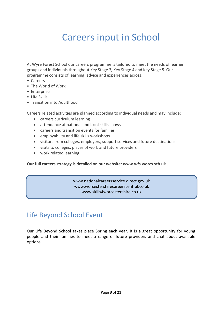### Careers input in School

At Wyre Forest School our careers programme is tailored to meet the needs of learner groups and individuals throughout Key Stage 3, Key Stage 4 and Key Stage 5. Our programme consists of learning, advice and experiences across:

- Careers
- The World of Work
- Enterprise
- Life Skills
- Transition into Adulthood

Careers related activities are planned according to individual needs and may include:

- careers curriculum learning
- attendance at national and local skills shows
- careers and transition events for families
- employability and life skills workshops
- visitors from colleges, employers, support services and future destinations
- visits to colleges, places of work and future providers
- work related learning

**Our full careers strategy is detailed on our website: www.wfs.worcs.sch.uk**

www.nationalcareersservice.direct.gov.uk www.worcestershirecareerscentral.co.uk www.skills4worcestershire.co.uk

### Life Beyond School Event

Our Life Beyond School takes place Spring each year. It is a great opportunity for young people and their families to meet a range of future providers and chat about available options.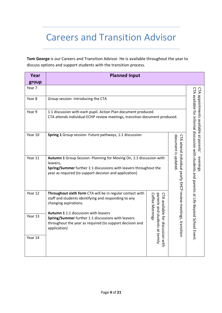### Careers and Transition Advisor

**Tom George** is our Careers and Transition Advisor. He is available throughout the year to discuss options and support students with the transition process.

| Year<br>group | <b>Planned Input</b>                                                                                                                                                                                                                                                            |                                                                     |  |                                                                                              |  |
|---------------|---------------------------------------------------------------------------------------------------------------------------------------------------------------------------------------------------------------------------------------------------------------------------------|---------------------------------------------------------------------|--|----------------------------------------------------------------------------------------------|--|
| Year 7        |                                                                                                                                                                                                                                                                                 |                                                                     |  |                                                                                              |  |
| Year 8        | Group session- Introducing the CTA                                                                                                                                                                                                                                              |                                                                     |  | CTA appointments available at parents'                                                       |  |
| Year 9        | 1:1 discussion with each pupil. Action Plan document produced.<br>CTA attends individual ECHP review meetings, transition document produced.                                                                                                                                    |                                                                     |  |                                                                                              |  |
| Year 10       | Spring 1 Group session- Future pathways, 1:1 discussion<br>document is updated                                                                                                                                                                                                  |                                                                     |  |                                                                                              |  |
| Year 11       | CTA attend individual yearly EHCP review meetings, transition<br>Autumn 1 Group Session- Planning for Moving On, 1:1 discussion with<br>leavers,<br>Spring/Summer further 1:1 discussions with leavers throughout the<br>year as required (to support decision and application) |                                                                     |  |                                                                                              |  |
| Year 12       | Throughout sixth form CTA will be in regular contact with<br>staff and students identifying and responding to any<br>changing aspirations.                                                                                                                                      | <b>Coffee Mornings</b>                                              |  |                                                                                              |  |
| Year 13       | Autumn 1 1:1 discussion with leavers<br>Spring/Summer further 1:1 discussions with leavers<br>throughout the year as required (to support decision and<br>application)                                                                                                          | parents and students at termly<br>CTA available for discussion with |  | CLA available for informal discussion with students and parents at Life Beyond School Event. |  |
| Year 14       |                                                                                                                                                                                                                                                                                 |                                                                     |  |                                                                                              |  |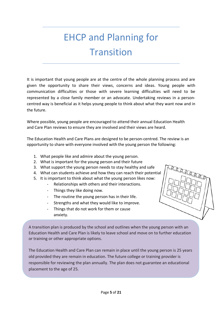# EHCP and Planning for **Transition**

It is important that young people are at the centre of the whole planning process and are given the opportunity to share their views, concerns and ideas. Young people with communication difficulties or those with severe learning difficulties will need to be represented by a close family member or an advocate. Undertaking reviews in a personcentred way is beneficial as it helps young people to think about what they want now and in the future.

Where possible, young people are encouraged to attend their annual Education Health and Care Plan reviews to ensure they are involved and their views are heard.

The Education Health and Care Plans are designed to be person-centred. The review is an opportunity to share with everyone involved with the young person the following:

- 1. What people like and admire about the young person.
- 2. What is important for the young person and their future
- 3. What support the young person needs to stay healthy and safe
- 4. What can students achieve and how they can reach their potential
- 5. It is important to think about what the young person likes now:
	- Relationships with others and their interactions.
	- Things they like doing now.
	- The routine the young person has in their life.
	- Strengths and what they would like to improve.
	- Things that do not work for them or cause anxiety.

A transition plan is produced by the school and outlines when the young person with an Education Health and Care Plan is likely to leave school and move on to further education or training or other appropriate options.

The Education Health and Care Plan can remain in place until the young person is 25 years old provided they are remain in education. The future college or training provider is responsible for reviewing the plan annually. The plan does not guarantee an educational placement to the age of 25.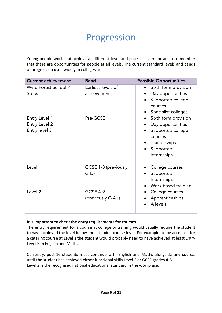### Progression

Young people work and achieve at different level and paces. It is important to remember that there are opportunities for people at all levels. The current standard levels and bands of progression used widely in colleges are:

| <b>Current achievement</b>                      | <b>Band</b>                          | <b>Possible Opportunities</b>                                                                                                                   |
|-------------------------------------------------|--------------------------------------|-------------------------------------------------------------------------------------------------------------------------------------------------|
| Wyre Forest School P<br><b>Steps</b>            | Earliest levels of<br>achievement    | Sixth form provision<br>$\bullet$<br>Day opportunities<br>Supported college<br>courses<br>Specialist colleges                                   |
| Entry Level 1<br>Entry Level 2<br>Entry level 3 | Pre-GCSE                             | Sixth form provision<br>$\bullet$<br>Day opportunities<br>Supported college<br>courses<br>Traineeships<br>Supported<br>$\bullet$<br>Internships |
| Level 1                                         | GCSE 1-3 (previously<br>$G-D$        | College courses<br>$\bullet$<br>Supported<br>Internships<br>Work based training<br>$\bullet$                                                    |
| Level <sub>2</sub>                              | <b>GCSE 4-9</b><br>(previously C-A+) | College courses<br>$\bullet$<br>Apprenticeships<br>A levels                                                                                     |

#### **It is important to check the entry requirements for courses.**

The entry requirement for a course at college or training would usually require the student to have achieved the level below the intended course level. For example, to be accepted for a catering course at Level 1 the student would probably need to have achieved at least Entry Level 3 in English and Maths.

Currently, post-16 students must continue with English and Maths alongside any course, until the student has achieved either functional skills Level 2 or GCSE grades 4-5. Level 2 is the recognised national educational standard in the workplace.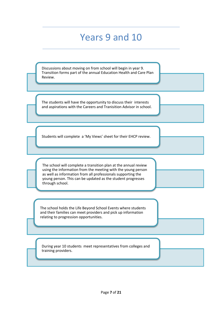### Years 9 and 10

Discussions about moving on from school will begin in year 9. Transition forms part of the annual Education Health and Care Plan Review.

The students will have the opportunity to discuss their interests and aspirations with the Careers and Tranisition Advisor in school.

Students will complete a 'My Views' sheet for their EHCP review.

The school will complete a transition plan at the annual review using the information from the meeting with the young person as well as information from all professionals supporting the young person. This can be updated as the student progresses through school.

The school holds the Life Beyond School Events where students and their families can meet providers and pick up information relating to progression opportunities.

During year 10 students meet representatives from colleges and training providers.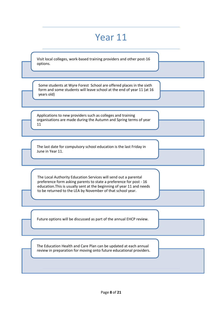### Year 11

Visit local colleges, work-based training providers and other post-16 options.

Some students at Wyre Forest School are offered places in the sixth form and some students will leave school at the end of year 11 (at 16 years old)

Applications to new providers such as colleges and training organisations are made during the Autumn and Spring terms of year 11

The last date for compulsory school education is the last Friday in June in Year 11.

The Local Authority Education Services will send out a parental preference form asking parents to state a preference for post - 16 education.This is usually sent at the beginning of year 11 and needs to be returned to the LEA by November of that school year.

Future options will be discussed as part of the annual EHCP review.

The Education Health and Care Plan can be updated at each annual review in preparation for moving onto future educational providers.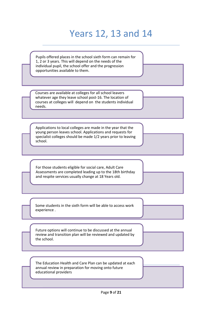# Years 12, 13 and 14

Pupils offered places in the school sixth form can remain for 1, 2 or 3 years. This will depend on the needs of the individual pupil, the school offer and the progression opportunities available to them.

Courses are available at colleges for all school leavers whatever age they leave school post-16. The location of courses at colleges will depend on the students individual needs.

Applications to local colleges are made in the year that the young person leaves school. Applications and requests for specialist colleges should be made 1/2 years prior to leaving school.

For those students eligible for social care, Adult Care Assessments are completed leading up to the 18th birthday and respite services usually change at 18 Years old.

Some students in the sixth form will be able to access work experience .

Future options will continue to be discussed at the annual review and transition plan will be reviewed and updated by the school.

Local Offer The Education Health and Care Plan can be updated at each annual review in preparation for moving onto future educational providers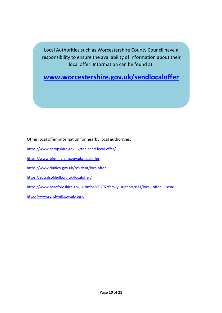Local Authorities such as Worcestershire County Council have a responsibility to ensure the availability of information about their local offer. Information can be found at:

**www.worcestershire.gov.uk/sendlocaloffer**

Other local offer information for nearby local authorities:

- https://www.shropshire.gov.uk/the-send-local-offer/
- https://www.birmingham.gov.uk/localoffer
- https://www.dudley.gov.uk/resident/localoffer
- https://socialsolihull.org.uk/localoffer/
- https://www.herefordshire.gov.uk/info/200207/family\_support/831/local\_offer\_-\_send

http://www.sandwell.gov.uk/send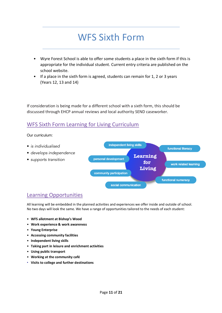### WFS Sixth Form

- Wyre Forest School is able to offer some students a place in the sixth form if this is appropriate for the individual student. Current entry criteria are published on the school website.
- If a place in the sixth form is agreed, students can remain for 1, 2 or 3 years (Years 12, 13 and 14)

If consideration is being made for a different school with a sixth form, this should be discussed through EHCP annual reviews and local authority SEND caseworker.

### WFS Sixth Form Learning for Living Curriculum

Our curriculum:



### Learning Opportunities

All learning will be embedded in the planned activities and experiences we offer inside and outside of school. No two days will look the same. We have a range of opportunities tailored to the needs of each student:

- **WFS allotment at Bishop's Wood**
- **Work experience & work awareness**
- **Young Enterprise**
- **Accessing community facilities**
- **Independent living skills**
- **Taking part in leisure and enrichment activities**
- **Using public transport**
- **Working at the community café**
- **Visits to college and further destinations**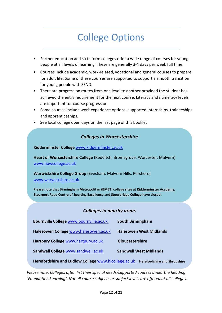# College Options

- Further education and sixth form colleges offer a wide range of courses for young people at all levels of learning. These are generally 3-4 days per week full time.
- Courses include academic, work-related, vocational and general courses to prepare for adult life. Some of these courses are supported to support a smooth transition for young people with SEND.
- There are progression routes from one level to another provided the student has achieved the entry requirement for the next course. Literacy and numeracy levels are important for course progression.
- Some courses include work experience options, supported internships, traineeships and apprenticeships.
- See local college open days on the last page of this booklet

#### *Colleges in Worcestershire*

**Kidderminster College** www.kidderminster.ac.uk

**Heart of Worcestershire College** (Redditch, Bromsgrove, Worcester, Malvern) www.howcollege.ac.uk

Warwickshire College Group (Evesham, Malvern Hills, Pershore) www.warwickshire.ac.uk

**Please note that Birmingham Metropolitan (BMET) college sites at Kidderminster Academy, Stourport Road Centre of Sporting Excellence and Stourbridge College have closed.**

#### *Colleges in nearby areas*

| Bournville College www.bournville.ac.uk                                                     | <b>South Birmingham</b>        |  |  |  |
|---------------------------------------------------------------------------------------------|--------------------------------|--|--|--|
| Halesowen College www.halesowen.ac.uk                                                       | <b>Halesowen West Midlands</b> |  |  |  |
| Hartpury College www.hartpury.ac.uk                                                         | Gloucestershire                |  |  |  |
| Sandwell College www.sandwell.ac.uk                                                         | <b>Sandwell West Midlands</b>  |  |  |  |
| Herefordshire and Ludlow College www.hlcollege.ac.uk<br><b>Herefordshire and Shropshire</b> |                                |  |  |  |

*Please note: Colleges often list their special needs/supported courses under the heading 'Foundation Learning'. Not all course subjects or subject levels are offered at all colleges.*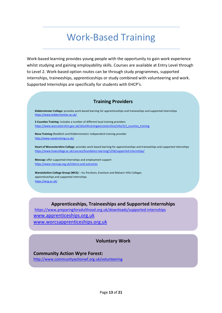### Work-Based Training

Work-based learning provides young people with the opportunity to gain work experience whilst studying and gaining employability skills. Courses are available at Entry Level through to Level 2. Work-based option routes can be through study programmes, supported internships, traineeships, apprenticeships or study combined with volunteering and work. Supported Internships are specifically for students with EHCP's.

#### **Training Providers**

**Kidderminster College:** provides work based learning for apprenticeships and traineeships and supported internships https://www.kidderminster.ac.uk/

**2 Counties Training**: includes a number of different local training providers https://www.worcestershire.gov.uk/16to24trainingworcestershire/info/3/2\_counties\_training

**Nova Training** (Redditch and Kidderminster): independent training provider http://www.novatraining.co.uk/

**Heart of Worcestershire College**: provides work based learning for apprenticeships and traineeships and supported internships https://www.howcollege.ac.uk/courses/foundation-learning/1256/supported-internships/

**Mencap:** offer supported-internships and employment support https://www.mencap.org.uk/interns-and-outcomes

**Warwickshire College Group (WCG**) – Inc Pershore, Evesham and Malvern Hills Colleges apprenticeships and supported internships https://wcg.ac.uk/

#### **Apprenticeships, Traineeships and Supported Internships**

https://www.preparingforadulthood.org.uk/downloads/supported-internships www.apprenticeships.org.uk www.worcsapprenticeships.org.uk

**Voluntary Work**

#### **Community Action Wyre Forest:**

http://www.communityactionwf.org.uk/volunteering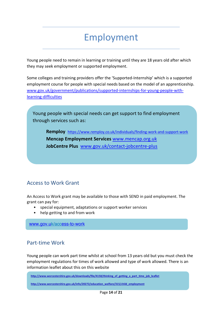# Employment

Young people need to remain in learning or training until they are 18 years old after which they may seek employment or supported employment.

Some colleges and training providers offer the 'Supported-Internship' which is a supported employment course for people with special needs based on the model of an apprenticeship. www.gov.uk/government/publications/supported-internships-for-young-people-withlearning-difficulties

Young people with special needs can get support to find employment through services such as:

**Remploy** https://www.remploy.co.uk/individuals/finding-work-and-support-work **Mencap Employment Services** www.mencap.org.uk **JobCentre Plus** www.gov.uk/contact-jobcentre-plus

### Access to Work Grant

An Access to Work grant may be available to those with SEND in paid employment. The grant can pay for:

- special equipment, adaptations or support worker services
- help getting to and from work

www.gov.uk/access-to-work

### Part-time Work

Young people can work part time whilst at school from 13 years old but you must check the employment regulations for times of work allowed and type of work allowed. There is an information leaflet about this on this website

http://www.worcestershire.gov.uk/downloads/file/4158/thinking\_of\_getting\_a\_part\_time\_job\_leaflet

**http://www.worcestershire.gov.uk/info/20272/education\_welfare/315/child\_employment**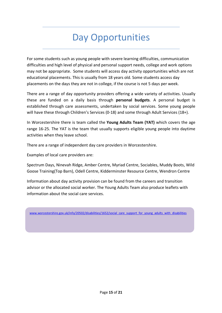## Day Opportunities

For some students such as young people with severe learning difficulties, communication difficulties and high level of physical and personal support needs, college and work options may not be appropriate. Some students will access day activity opportunities which are not educational placements. This is usually from 18 years old. Some students access day placements on the days they are not in college, if the course is not 5 days per week.

There are a range of day opportunity providers offering a wide variety of activities. Usually these are funded on a daily basis through **personal budgets**. A personal budget is established through care assessments, undertaken by social services. Some young people will have these through Children's Services (0-18) and some through Adult Services (18+).

In Worcestershire there is team called the **Young Adults Team (YAT)** which covers the age range 16-25. The YAT is the team that usually supports eligible young people into daytime activities when they leave school.

There are a range of independent day care providers in Worcestershire.

Examples of local care providers are:

Spectrum Days, Ninevah Ridge, Amber Centre, Myriad Centre, Sociables, Muddy Boots, Wild Goose Training(Top Barn), Odell Centre, Kidderminster Resource Centre, Wendron Centre

Information about day activity provision can be found from the careers and transition advisor or the allocated social worker. The Young Adults Team also produce leaflets with information about the social care services.

www.worcestershire.gov.uk/info/20502/disabilities/1652/social\_care\_support\_for\_young\_adults\_with\_disabilities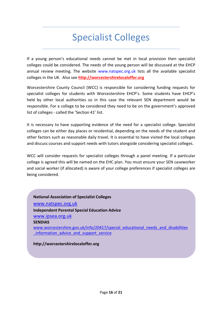### Specialist Colleges

If a young person's educational needs cannot be met in local provision then specialist colleges could be considered. The needs of the young person will be discussed at the EHCP annual review meeting. The website www.natspec.org.uk lists all the available specialist colleges in the UK. Also see **http://worcestershirelocaloffer.org**

Worcestershire County Council (WCC) is responsible for considering funding requests for specialist colleges for students with Worcestershire EHCP's. Some students have EHCP's held by other local authorities so in this case the relevant SEN department would be responsible. For a college to be considered they need to be on the government's approved list of colleges - called the 'Section 41' list.

It is necessary to have supporting evidence of the need for a specialist college. Specialist colleges can be either day places or residential, depending on the needs of the student and other factors such as reasonable daily travel. It is essential to have visited the local colleges and discuss courses and support needs with tutors alongside considering specialist colleges.

WCC will consider requests for specialist colleges through a panel meeting. If a particular college is agreed this will be named on the EHC plan. You must ensure your SEN caseworker and social worker (if allocated) is aware of your college preferences if specialist colleges are being considered.

### **National Association of Specialist Colleges** www.natspec.org.uk **Independent Parental Special Education Advice** www.ipsea.org.uk **SENDIAS**  www.worcestershire.gov.uk/info/20417/special\_educational\_needs\_and\_disabilities \_information\_advice\_and\_support\_service

**http://worcestershirelocaloffer.org**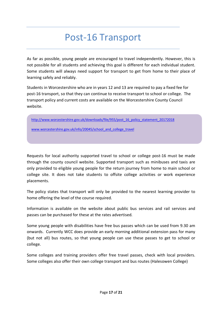### Post-16 Transport

As far as possible, young people are encouraged to travel independently. However, this is not possible for all students and achieving this goal is different for each individual student. Some students will always need support for transport to get from home to their place of learning safely and reliably.

Students in Worcestershire who are in years 12 and 13 are required to pay a fixed fee for post-16 transport, so that they can continue to receive transport to school or college. The transport policy and current costs are available on the Worcestershire County Council website.

http://www.worcestershire.gov.uk/downloads/file/955/post\_16\_policy\_statement\_20172018

www.worcestershire.gov.uk/info/20045/school\_and\_college\_travel

Requests for local authority supported travel to school or college post-16 must be made through the county council website. Supported transport such as minibuses and taxis are only provided to eligible young people for the return journey from home to main school or college site. It does not take students to offsite college activities or work experience placements.

The policy states that transport will only be provided to the nearest learning provider to home offering the level of the course required.

Information is available on the website about public bus services and rail services and passes can be purchased for these at the rates advertised.

Some young people with disabilities have free bus passes which can be used from 9.30 am onwards. Currently WCC does provide an early morning additional extension pass for many (but not all) bus routes, so that young people can use these passes to get to school or college.

Some colleges and training providers offer free travel passes, check with local providers. Some colleges also offer their own college transport and bus routes (Halesowen College)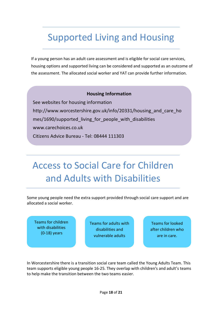### Supported Living and Housing

If a young person has an adult care assessment and is eligible for social care services, housing options and supported living can be considered and supported as an outcome of the assessment. The allocated social worker and YAT can provide further information.

#### **Housing Information**

See websites for housing information http://www.worcestershire.gov.uk/info/20331/housing\_and\_care\_ho mes/1690/supported\_living\_for\_people\_with\_disabilities www.carechoices.co.uk Citizens Advice Bureau - Tel: 08444 111303

# Access to Social Care for Children and Adults with Disabilities

Some young people need the extra support provided through social care support and are allocated a social worker.

Teams for children with disabilities (0-18) years

Teams for adults with disabilities and vulnerable adults

Teams for looked after children who are in care.

In Worcestershire there is a transition social care team called the Young Adults Team. This team supports eligible young people 16-25. They overlap with children's and adult's teams to help make the transition between the two teams easier.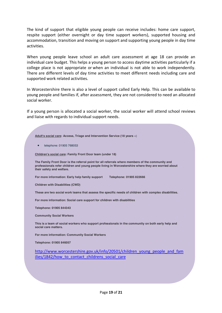The kind of support that eligible young people can receive includes: home care support, respite support (either overnight or day time support workers), supported housing and accommodation, transition and moving on support and supporting young people in day time activities.

When young people leave school an adult care assessment at age 18 can provide an individual care budget. This helps a young person to access daytime activities particularly if a college place is not appropriate or when an individual is not able to work independently. There are different levels of day time activities to meet different needs including care and supported work related activities.

In Worcestershire there is also a level of support called Early Help. This can be available to young people and families if, after assessment, they are not considered to need an allocated social worker.

If a young person is allocated a social worker, the social worker will attend school reviews and liaise with regards to individual support needs.

| Adult's social care: Access, Triage and Intervention Service (18 years +)                                                                                                                                                            |
|--------------------------------------------------------------------------------------------------------------------------------------------------------------------------------------------------------------------------------------|
| telephone: 01905 768053<br>$\bullet$                                                                                                                                                                                                 |
| Children's social care: Family Front Door team (under 18)                                                                                                                                                                            |
| The Family Front Door is the referral point for all referrals where members of the community and<br>professionals refer children and young people living in Worcestershire where they are worried about<br>their safety and welfare. |
| For more information: Early help family support<br>Telephone: 01905 822666                                                                                                                                                           |
| <b>Children with Disabilities (CWD)</b>                                                                                                                                                                                              |
| These are two social work teams that assess the specific needs of children with complex disabilities.                                                                                                                                |
| For more information: Social care support for children with disabilities                                                                                                                                                             |
| Telephone: 01905 844343                                                                                                                                                                                                              |
| <b>Community Social Workers</b>                                                                                                                                                                                                      |
| This is a team of social workers who support professionals in the community on both early help and<br>social care matters.                                                                                                           |
| For more information: Community Social Workers                                                                                                                                                                                       |
| Telephone: 01905 846057                                                                                                                                                                                                              |
| http://www.worcestershire.gov.uk/info/20501/children young people and fam<br>ilies/1842/how to contact childrens social care                                                                                                         |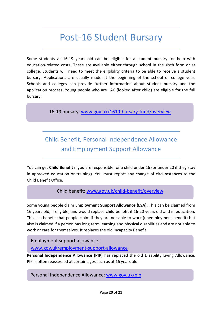### Post-16 Student Bursary

Some students at 16-19 years old can be eligible for a student bursary for help with education-related costs. These are available either through school in the sixth form or at college. Students will need to meet the eligibility criteria to be able to receive a student bursary. Applications are usually made at the beginning of the school or college year. Schools and colleges can provide further information about student bursary and the application process. Young people who are LAC (looked after child) are eligible for the full bursary.

16-19 bursary: www.gov.uk/1619-bursary-fund/overview

### Child Benefit, Personal Independence Allowance and Employment Support Allowance

You can get **Child Benefit** if you are responsible for a child under 16 (or under 20 if they stay in approved education or training). You must report any change of circumstances to the Child Benefit Office.

#### Child benefit: www.gov.uk/child-benefit/overview

Some young people claim **Employment Support Allowance (ESA).** This can be claimed from 16 years old, if eligible, and would replace child benefit if 16-20 years old and in education. This is a benefit that people claim if they are not able to work (unemployment benefit) but also is claimed if a person has long term learning and physical disabilities and are not able to work or care for themselves. It replaces the old Incapacity Benefit.

Employment support allowance:

www.gov.uk/employment-support-allowance

**Personal Independence Allowance (PIP)** has replaced the old Disability Living Allowance. PIP is often reassessed at certain ages such as at 16 years old.

Personal Independence Allowance: www.gov.uk/pip